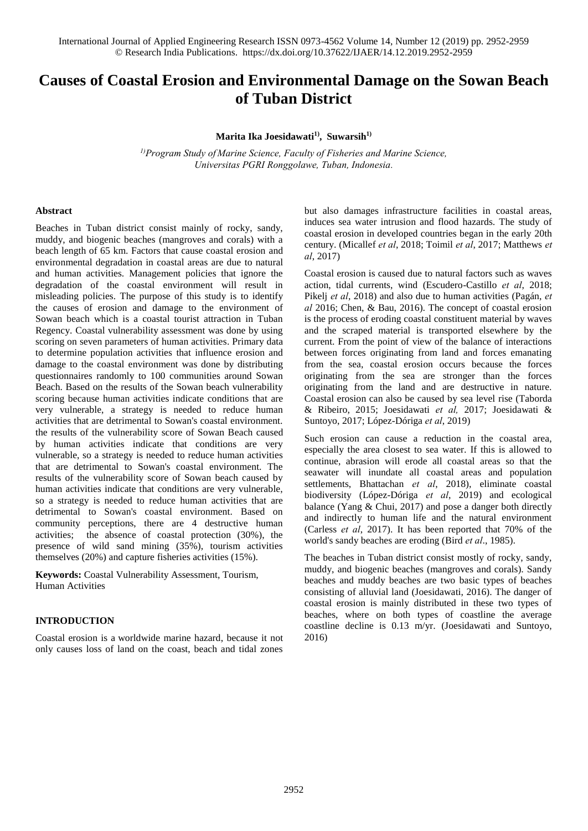# **Causes of Coastal Erosion and Environmental Damage on the Sowan Beach of Tuban District**

**Marita Ika Joesidawati1) , Suwarsih1)** 

*1)Program Study of Marine Science, Faculty of Fisheries and Marine Science, Universitas PGRI Ronggolawe, Tuban, Indonesia.*

## **Abstract**

Beaches in Tuban district consist mainly of rocky, sandy, muddy, and biogenic beaches (mangroves and corals) with a beach length of 65 km. Factors that cause coastal erosion and environmental degradation in coastal areas are due to natural and human activities. Management policies that ignore the degradation of the coastal environment will result in misleading policies. The purpose of this study is to identify the causes of erosion and damage to the environment of Sowan beach which is a coastal tourist attraction in Tuban Regency. Coastal vulnerability assessment was done by using scoring on seven parameters of human activities. Primary data to determine population activities that influence erosion and damage to the coastal environment was done by distributing questionnaires randomly to 100 communities around Sowan Beach. Based on the results of the Sowan beach vulnerability scoring because human activities indicate conditions that are very vulnerable, a strategy is needed to reduce human activities that are detrimental to Sowan's coastal environment. the results of the vulnerability score of Sowan Beach caused by human activities indicate that conditions are very vulnerable, so a strategy is needed to reduce human activities that are detrimental to Sowan's coastal environment. The results of the vulnerability score of Sowan beach caused by human activities indicate that conditions are very vulnerable, so a strategy is needed to reduce human activities that are detrimental to Sowan's coastal environment. Based on community perceptions, there are 4 destructive human activities; the absence of coastal protection (30%), the presence of wild sand mining (35%), tourism activities themselves (20%) and capture fisheries activities (15%).

**Keywords:** Coastal Vulnerability Assessment, Tourism, Human Activities

## **INTRODUCTION**

Coastal erosion is a worldwide marine hazard, because it not only causes loss of land on the coast, beach and tidal zones but also damages infrastructure facilities in coastal areas, induces sea water intrusion and flood hazards. The study of coastal erosion in developed countries began in the early 20th century. (Micallef *et al*, 2018; Toimil *et al*, 2017; Matthews *et al*, 2017)

Coastal erosion is caused due to natural factors such as waves action, tidal currents, wind (Escudero-Castillo *et al*, 2018; Pikelj *et al*, 2018) and also due to human activities (Pagán, *et al* 2016; Chen, & Bau, 2016). The concept of coastal erosion is the process of eroding coastal constituent material by waves and the scraped material is transported elsewhere by the current. From the point of view of the balance of interactions between forces originating from land and forces emanating from the sea, coastal erosion occurs because the forces originating from the sea are stronger than the forces originating from the land and are destructive in nature. Coastal erosion can also be caused by sea level rise (Taborda & Ribeiro, 2015; Joesidawati *et al,* 2017; Joesidawati & Suntoyo, 2017; López-Dóriga *et al*, 2019)

Such erosion can cause a reduction in the coastal area, especially the area closest to sea water. If this is allowed to continue, abrasion will erode all coastal areas so that the seawater will inundate all coastal areas and population settlements, Bhattachan *et al*, 2018), eliminate coastal biodiversity (López-Dóriga *et al*, 2019) and ecological balance (Yang & Chui, 2017) and pose a danger both directly and indirectly to human life and the natural environment (Carless *et al*, 2017). It has been reported that 70% of the world's sandy beaches are eroding (Bird *et al*., 1985).

The beaches in Tuban district consist mostly of rocky, sandy, muddy, and biogenic beaches (mangroves and corals). Sandy beaches and muddy beaches are two basic types of beaches consisting of alluvial land (Joesidawati, 2016). The danger of coastal erosion is mainly distributed in these two types of beaches, where on both types of coastline the average coastline decline is 0.13 m/yr. (Joesidawati and Suntoyo, 2016)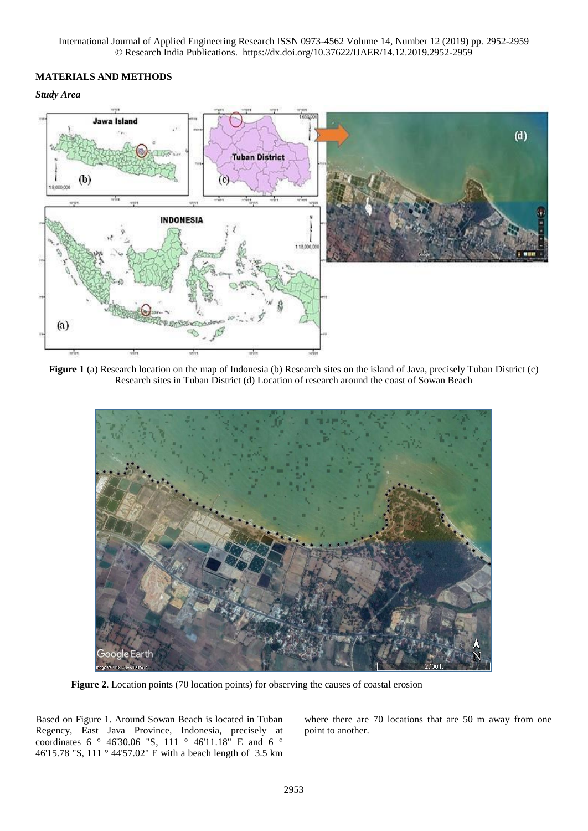# **MATERIALS AND METHODS**

*Study Area* 



**Figure 1** (a) Research location on the map of Indonesia (b) Research sites on the island of Java, precisely Tuban District (c) Research sites in Tuban District (d) Location of research around the coast of Sowan Beach



**Figure 2**. Location points (70 location points) for observing the causes of coastal erosion

Based on Figure 1. Around Sowan Beach is located in Tuban Regency, East Java Province, Indonesia, precisely at coordinates 6 ° 46'30.06 "S, 111 ° 46'11.18" E and 6 ° 46'15.78 "S, 111 ° 44'57.02" E with a beach length of 3.5 km where there are 70 locations that are 50 m away from one point to another.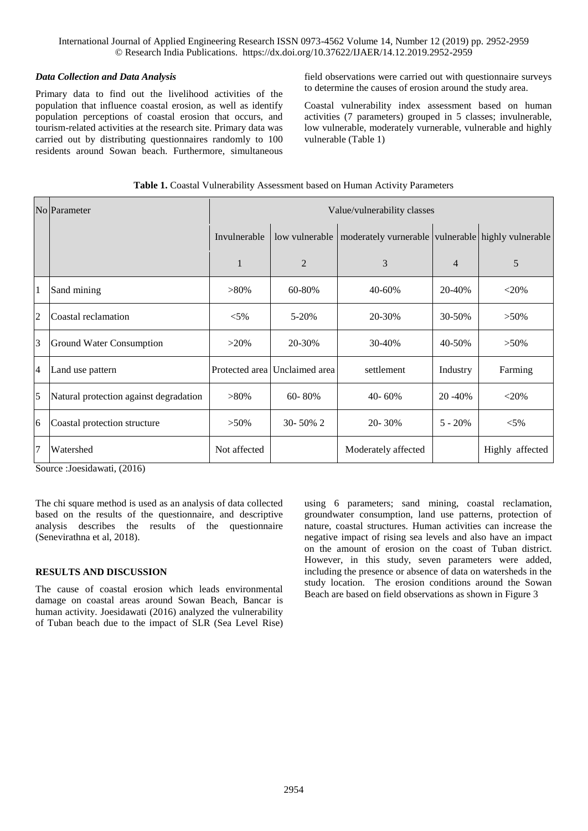## *Data Collection and Data Analysis*

Primary data to find out the livelihood activities of the population that influence coastal erosion, as well as identify population perceptions of coastal erosion that occurs, and tourism-related activities at the research site. Primary data was carried out by distributing questionnaires randomly to 100 residents around Sowan beach. Furthermore, simultaneous

field observations were carried out with questionnaire surveys to determine the causes of erosion around the study area.

Coastal vulnerability index assessment based on human activities (7 parameters) grouped in 5 classes; invulnerable, low vulnerable, moderately vurnerable, vulnerable and highly vulnerable (Table 1)

|                | No Parameter                           | Value/vulnerability classes |                               |                                                    |                |                 |
|----------------|----------------------------------------|-----------------------------|-------------------------------|----------------------------------------------------|----------------|-----------------|
|                |                                        | Invulnerable                | low vulnerable                | moderately vurnerable vulnerable highly vulnerable |                |                 |
|                |                                        | 1                           | $\overline{2}$                | 3                                                  | $\overline{4}$ | 5               |
| $\overline{1}$ | Sand mining                            | $>80\%$                     | 60-80%                        | 40-60%                                             | 20-40%         | $<$ 20%         |
| $\overline{2}$ | Coastal reclamation                    | $< 5\%$                     | $5 - 20%$                     | 20-30%                                             | 30-50%         | $>50\%$         |
| $\overline{3}$ | Ground Water Consumption               | $>20\%$                     | 20-30%                        | 30-40%                                             | 40-50%         | $>50\%$         |
| $\overline{4}$ | Land use pattern                       |                             | Protected area Unclaimed area | settlement                                         | Industry       | Farming         |
| 5              | Natural protection against degradation | $>80\%$                     | $60 - 80%$                    | 40-60%                                             | 20 - 40%       | $<$ 20%         |
| 6              | Coastal protection structure           | $>50\%$                     | 30-50% 2                      | 20-30%                                             | $5 - 20%$      | $< 5\%$         |
| $\overline{7}$ | Watershed                              | Not affected                |                               | Moderately affected                                |                | Highly affected |

| Table 1. Coastal Vulnerability Assessment based on Human Activity Parameters |  |
|------------------------------------------------------------------------------|--|
|------------------------------------------------------------------------------|--|

Source :Joesidawati, (2016)

The chi square method is used as an analysis of data collected based on the results of the questionnaire, and descriptive analysis describes the results of the questionnaire (Senevirathna et al, 2018).

## **RESULTS AND DISCUSSION**

The cause of coastal erosion which leads environmental damage on coastal areas around Sowan Beach, Bancar is human activity. Joesidawati (2016) analyzed the vulnerability of Tuban beach due to the impact of SLR (Sea Level Rise) using 6 parameters; sand mining, coastal reclamation, groundwater consumption, land use patterns, protection of nature, coastal structures. Human activities can increase the negative impact of rising sea levels and also have an impact on the amount of erosion on the coast of Tuban district. However, in this study, seven parameters were added, including the presence or absence of data on watersheds in the study location. The erosion conditions around the Sowan Beach are based on field observations as shown in Figure 3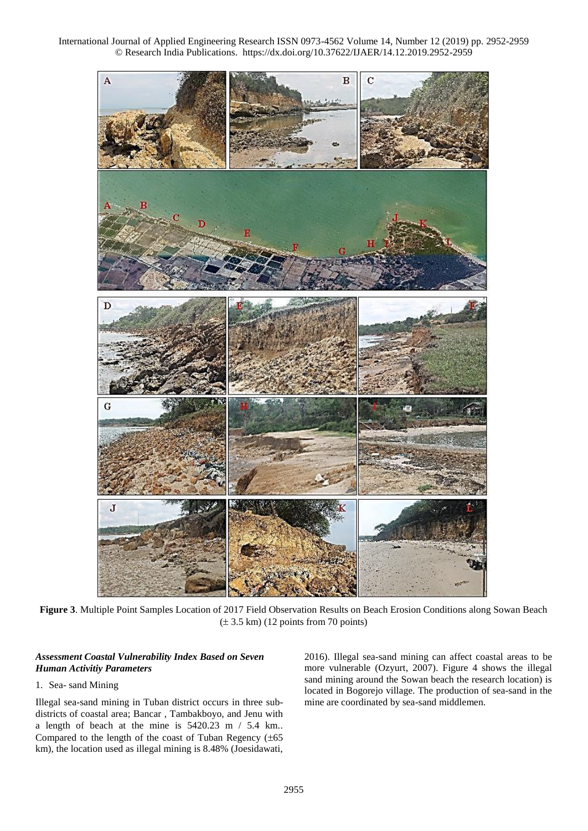

**Figure 3**. Multiple Point Samples Location of 2017 Field Observation Results on Beach Erosion Conditions along Sowan Beach  $(\pm 3.5 \text{ km})$  (12 points from 70 points)

## *Assessment Coastal Vulnerability Index Based on Seven Human Activitiy Parameters*

## 1. Sea- sand Mining

Illegal sea-sand mining in Tuban district occurs in three subdistricts of coastal area; Bancar , Tambakboyo, and Jenu with a length of beach at the mine is 5420.23 m / 5.4 km.. Compared to the length of the coast of Tuban Regency  $(\pm 65)$ km), the location used as illegal mining is 8.48% (Joesidawati, 2016). Illegal sea-sand mining can affect coastal areas to be more vulnerable (Ozyurt, 2007). Figure 4 shows the illegal sand mining around the Sowan beach the research location) is located in Bogorejo village. The production of sea-sand in the mine are coordinated by sea-sand middlemen.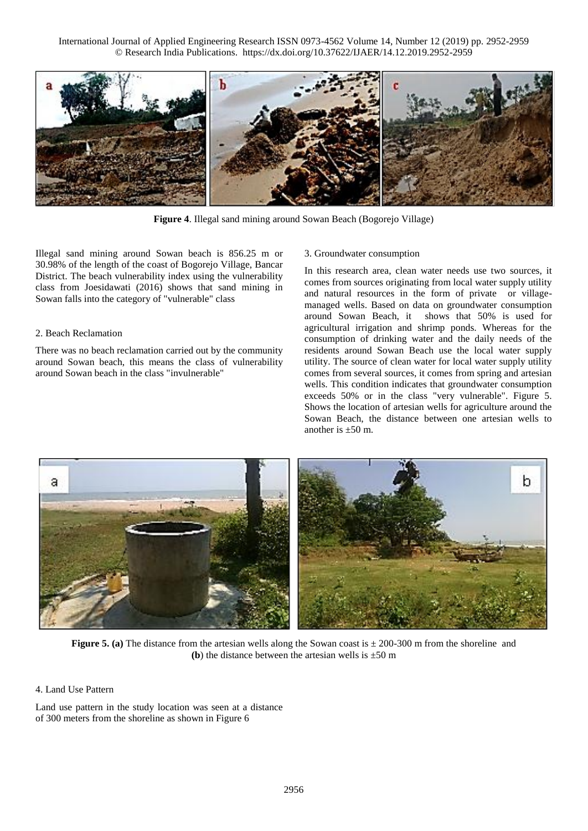

**Figure 4**. Illegal sand mining around Sowan Beach (Bogorejo Village)

Illegal sand mining around Sowan beach is 856.25 m or 30.98% of the length of the coast of Bogorejo Village, Bancar District. The beach vulnerability index using the vulnerability class from Joesidawati (2016) shows that sand mining in Sowan falls into the category of "vulnerable" class

## 2. Beach Reclamation

There was no beach reclamation carried out by the community around Sowan beach, this means the class of vulnerability around Sowan beach in the class "invulnerable"

## 3. Groundwater consumption

In this research area, clean water needs use two sources, it comes from sources originating from local water supply utility and natural resources in the form of private or villagemanaged wells. Based on data on groundwater consumption around Sowan Beach, it shows that 50% is used for agricultural irrigation and shrimp ponds. Whereas for the consumption of drinking water and the daily needs of the residents around Sowan Beach use the local water supply utility. The source of clean water for local water supply utility comes from several sources, it comes from spring and artesian wells. This condition indicates that groundwater consumption exceeds 50% or in the class "very vulnerable". Figure 5. Shows the location of artesian wells for agriculture around the Sowan Beach, the distance between one artesian wells to another is  $\pm 50$  m.



**Figure 5. (a)** The distance from the artesian wells along the Sowan coast is  $\pm$  200-300 m from the shoreline and **(b)** the distance between the artesian wells is  $\pm 50$  m

## 4. Land Use Pattern

Land use pattern in the study location was seen at a distance of 300 meters from the shoreline as shown in Figure 6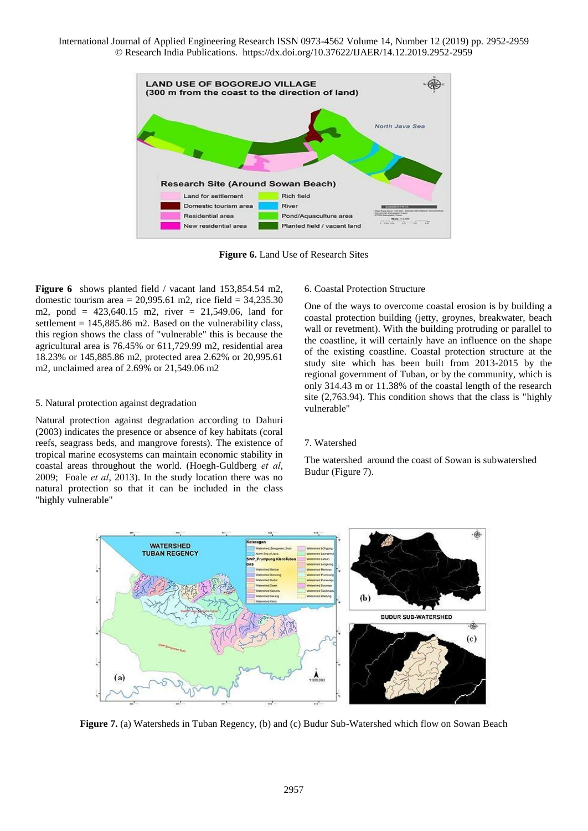

**Figure 6.** Land Use of Research Sites

**Figure 6** shows planted field / vacant land 153,854.54 m2, domestic tourism area =  $20,995.61$  m2, rice field =  $34,235.30$ m2, pond = 423,640.15 m2, river = 21,549.06, land for settlement  $= 145,885.86$  m2. Based on the vulnerability class, this region shows the class of "vulnerable" this is because the agricultural area is 76.45% or 611,729.99 m2, residential area 18.23% or 145,885.86 m2, protected area 2.62% or 20,995.61 m2, unclaimed area of 2.69% or 21,549.06 m2

## 5. Natural protection against degradation

Natural protection against degradation according to Dahuri (2003) indicates the presence or absence of key habitats (coral reefs, seagrass beds, and mangrove forests). The existence of tropical marine ecosystems can maintain economic stability in coastal areas throughout the world. (Hoegh-Guldberg *et al*, 2009; Foale *et al*, 2013). In the study location there was no natural protection so that it can be included in the class "highly vulnerable"

#### 6. Coastal Protection Structure

One of the ways to overcome coastal erosion is by building a coastal protection building (jetty, groynes, breakwater, beach wall or revetment). With the building protruding or parallel to the coastline, it will certainly have an influence on the shape of the existing coastline. Coastal protection structure at the study site which has been built from 2013-2015 by the regional government of Tuban, or by the community, which is only 314.43 m or 11.38% of the coastal length of the research site (2,763.94). This condition shows that the class is "highly vulnerable"

#### 7. Watershed

The watershed around the coast of Sowan is subwatershed Budur (Figure 7).



**Figure 7.** (a) Watersheds in Tuban Regency, (b) and (c) Budur Sub-Watershed which flow on Sowan Beach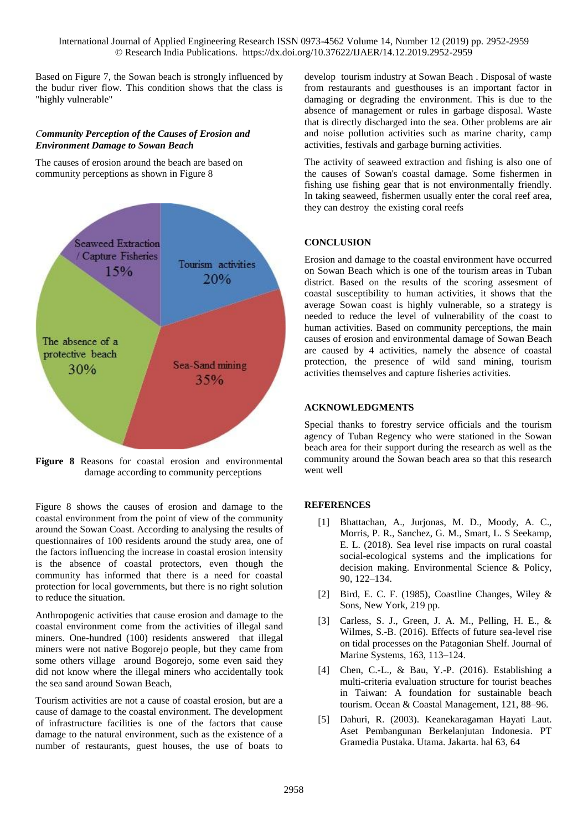Based on Figure 7, the Sowan beach is strongly influenced by the budur river flow. This condition shows that the class is "highly vulnerable"

## *Community Perception of the Causes of Erosion and Environment Damage to Sowan Beach*

The causes of erosion around the beach are based on community perceptions as shown in Figure 8



**Figure 8** Reasons for coastal erosion and environmental damage according to community perceptions

Figure 8 shows the causes of erosion and damage to the coastal environment from the point of view of the community around the Sowan Coast. According to analysing the results of questionnaires of 100 residents around the study area, one of the factors influencing the increase in coastal erosion intensity is the absence of coastal protectors, even though the community has informed that there is a need for coastal protection for local governments, but there is no right solution to reduce the situation.

Anthropogenic activities that cause erosion and damage to the coastal environment come from the activities of illegal sand miners. One-hundred (100) residents answered that illegal miners were not native Bogorejo people, but they came from some others village around Bogorejo, some even said they did not know where the illegal miners who accidentally took the sea sand around Sowan Beach,

Tourism activities are not a cause of coastal erosion, but are a cause of damage to the coastal environment. The development of infrastructure facilities is one of the factors that cause damage to the natural environment, such as the existence of a number of restaurants, guest houses, the use of boats to

develop tourism industry at Sowan Beach . Disposal of waste from restaurants and guesthouses is an important factor in damaging or degrading the environment. This is due to the absence of management or rules in garbage disposal. Waste that is directly discharged into the sea. Other problems are air and noise pollution activities such as marine charity, camp activities, festivals and garbage burning activities.

The activity of seaweed extraction and fishing is also one of the causes of Sowan's coastal damage. Some fishermen in fishing use fishing gear that is not environmentally friendly. In taking seaweed, fishermen usually enter the coral reef area, they can destroy the existing coral reefs

# **CONCLUSION**

Erosion and damage to the coastal environment have occurred on Sowan Beach which is one of the tourism areas in Tuban district. Based on the results of the scoring assesment of coastal susceptibility to human activities, it shows that the average Sowan coast is highly vulnerable, so a strategy is needed to reduce the level of vulnerability of the coast to human activities. Based on community perceptions, the main causes of erosion and environmental damage of Sowan Beach are caused by 4 activities, namely the absence of coastal protection, the presence of wild sand mining, tourism activities themselves and capture fisheries activities.

## **ACKNOWLEDGMENTS**

Special thanks to forestry service officials and the tourism agency of Tuban Regency who were stationed in the Sowan beach area for their support during the research as well as the community around the Sowan beach area so that this research went well

## **REFERENCES**

- [1] Bhattachan, A., Jurjonas, M. D., Moody, A. C., Morris, P. R., Sanchez, G. M., Smart, L. S Seekamp, E. L. (2018). Sea level rise impacts on rural coastal social-ecological systems and the implications for decision making. Environmental Science & Policy, 90, 122–134.
- [2] Bird, E. C. F. (1985), Coastline Changes, Wiley & Sons, New York, 219 pp.
- [3] Carless, S. J., Green, J. A. M., Pelling, H. E., & Wilmes, S.-B. (2016). Effects of future sea-level rise on tidal processes on the Patagonian Shelf. Journal of Marine Systems, 163, 113–124.
- [4] Chen, C.-L., & Bau, Y.-P. (2016). Establishing a multi-criteria evaluation structure for tourist beaches in Taiwan: A foundation for sustainable beach tourism. Ocean & Coastal Management, 121, 88–96.
- [5] Dahuri, R. (2003). Keanekaragaman Hayati Laut. Aset Pembangunan Berkelanjutan Indonesia. PT Gramedia Pustaka. Utama. Jakarta. hal 63, 64